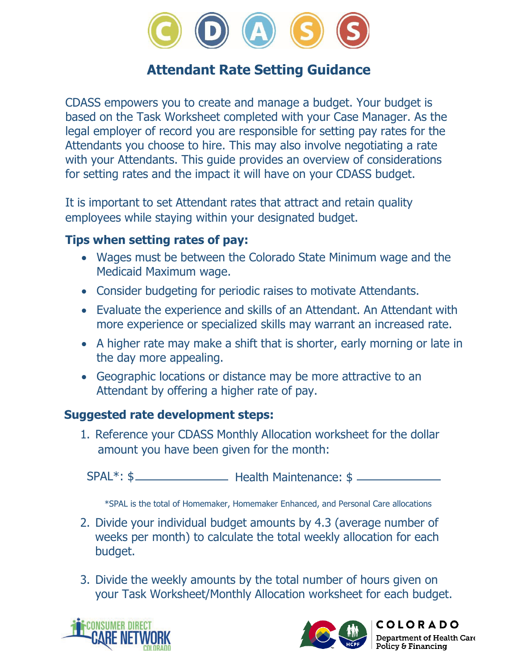

## **Attendant Rate Setting Guidance**

CDASS empowers you to create and manage a budget. Your budget is based on the Task Worksheet completed with your Case Manager. As the legal employer of record you are responsible for setting pay rates for the Attendants you choose to hire. This may also involve negotiating a rate with your Attendants. This guide provides an overview of considerations for setting rates and the impact it will have on your CDASS budget.

It is important to set Attendant rates that attract and retain quality employees while staying within your designated budget.

#### **Tips when setting rates of pay:**

- Wages must be between the Colorado State Minimum wage and the Medicaid Maximum wage.
- Consider budgeting for periodic raises to motivate Attendants.
- Evaluate the experience and skills of an Attendant. An Attendant with more experience or specialized skills may warrant an increased rate.
- A higher rate may make a shift that is shorter, early morning or late in the day more appealing.
- Geographic locations or distance may be more attractive to an Attendant by offering a higher rate of pay.

#### **Suggested rate development steps:**

1. Reference your CDASS Monthly Allocation worksheet for the dollar amount you have been given for the month:

Health Maintenance: \$ SPAL\*: \$

\*SPAL is the total of Homemaker, Homemaker Enhanced, and Personal Care allocations

- 2. Divide your individual budget amounts by 4.3 (average number of weeks per month) to calculate the total weekly allocation for each budget.
- 3. Divide the weekly amounts by the total number of hours given on your Task Worksheet/Monthly Allocation worksheet for each budget.





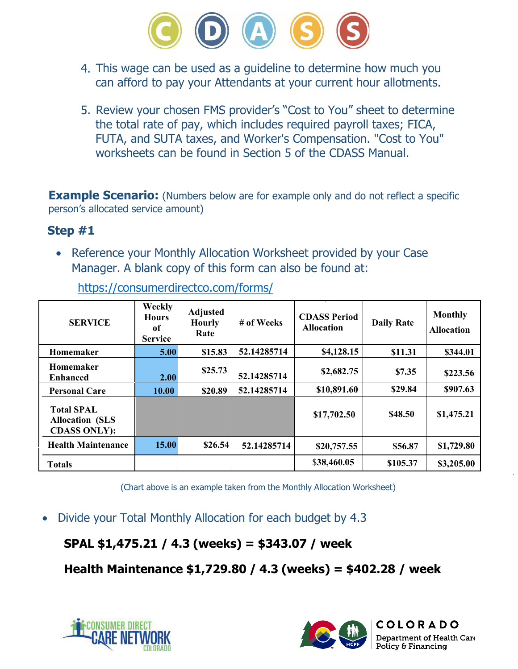

- This wage can be used as a guideline to determine how much you can afford to pay your Attendants at your current hour allotments.
- 5. Review your chosen FMS provider's "Cost to You" sheet to determine the total rate of pay, which includes required payroll taxes; FICA, FUTA, and SUTA taxes, and Worker's Compensation. "Cost to You" worksheets can be found in Section 5 of the CDASS Manual.

**Example Scenario:** (Numbers below are for example only and do not reflect a specific person's allocated service amount)

#### **Step #1**

• Reference your Monthly Allocation Worksheet provided by your Case Manager. A blank copy of this form can also be found at:

| <b>SERVICE</b>                                                     | Weekly<br><b>Hours</b><br>of<br><b>Service</b> | <b>Adjusted</b><br><b>Hourly</b><br>Rate | # of Weeks  | <b>CDASS Period</b><br><b>Allocation</b> | <b>Daily Rate</b> | <b>Monthly</b><br><b>Allocation</b> |
|--------------------------------------------------------------------|------------------------------------------------|------------------------------------------|-------------|------------------------------------------|-------------------|-------------------------------------|
| Homemaker                                                          | 5.00                                           | \$15.83                                  | 52.14285714 | \$4,128.15                               | \$11.31           | \$344.01                            |
| Homemaker<br><b>Enhanced</b>                                       | 2.00                                           | \$25.73                                  | 52.14285714 | \$2,682.75                               | \$7.35            | \$223.56                            |
| <b>Personal Care</b>                                               | 10.00                                          | \$20.89                                  | 52.14285714 | \$10,891.60                              | \$29.84           | \$907.63                            |
| <b>Total SPAL</b><br><b>Allocation (SLS</b><br><b>CDASS ONLY):</b> |                                                |                                          |             | \$17,702.50                              | \$48.50           | \$1,475.21                          |
| <b>Health Maintenance</b>                                          | 15.00                                          | \$26.54                                  | 52.14285714 | \$20,757.55                              | \$56.87           | \$1,729.80                          |
| <b>Totals</b>                                                      |                                                |                                          |             | \$38,460.05                              | \$105.37          | \$3,205.00                          |

<https://consumerdirectco.com/forms/>

(Chart above is an example taken from the Monthly Allocation Worksheet)

• Divide your Total Monthly Allocation for each budget by 4.3

## **SPAL \$1,475.21 / 4.3 (weeks) = \$343.07 / week**

**Health Maintenance \$1,729.80 / 4.3 (weeks) = \$402.28 / week**



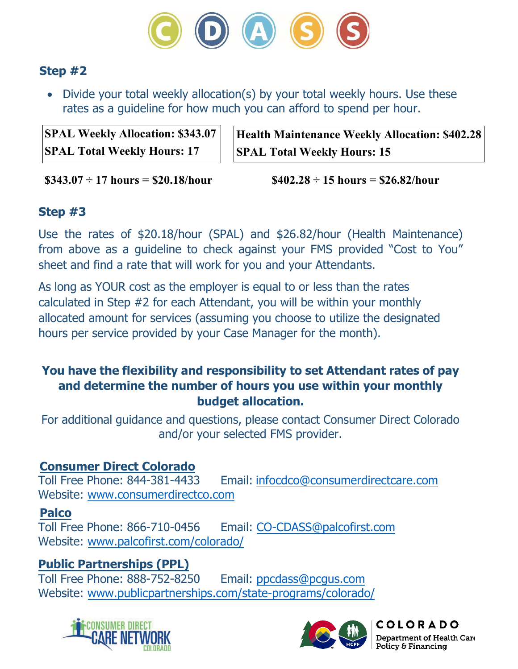

### **Step #2**

• Divide your total weekly allocation(s) by your total weekly hours. Use these rates as a guideline for how much you can afford to spend per hour.

**SPAL Weekly Allocation: \$343.07 SPAL Total Weekly Hours: 17** 

**Health Maintenance Weekly Allocation: \$402.28 SPAL Total Weekly Hours: 15** 

**\$343.07 ÷ 17 hours = \$20.18/hour** 

 **\$402.28 ÷ 15 hours = \$26.82/hour** 

### **Step #3**

Use the rates of \$20.18/hour (SPAL) and \$26.82/hour (Health Maintenance) from above as a guideline to check against your FMS provided "Cost to You" sheet and find a rate that will work for you and your Attendants.

As long as YOUR cost as the employer is equal to or less than the rates calculated in Step #2 for each Attendant, you will be within your monthly allocated amount for services (assuming you choose to utilize the designated hours per service provided by your Case Manager for the month).

### **You have the flexibility and responsibility to set Attendant rates of pay and determine the number of hours you use within your monthly budget allocation.**

For additional guidance and questions, please contact Consumer Direct Colorado and/or your selected FMS provider.

# **Consumer Direct Colorado**

Email: [infocdco@consumerdirectcare.com](mailto:infocdco@consumerdirectcare.com) Website: [www.consumerdirectco.com](http://www.consumerdirectco.com)

#### **Palco**

Toll Free Phone: 866-710-0456 Email: [CO-CDASS@palcofirst.com](mailto:CO-CDASS@palcofirst.com) Website: [www.palcofirst.com/colora](http://www.palcofirst.com/colorado/)do/

# **Public Partnerships (PPL)**

Email: [ppcdass@pcgus.com](mailto:ppcdass@pcgus.com) Website: [www.publicpartnerships.com/](http://www.publicpartnerships.com/state-programs/colorado/)state-programs/colorado/





**COLORADO** Department of Health Care Policy & Financing